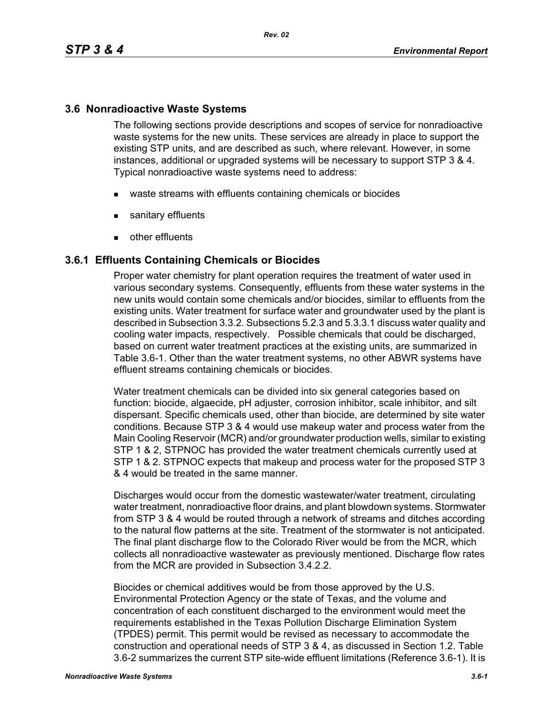## **3.6 Nonradioactive Waste Systems**

The following sections provide descriptions and scopes of service for nonradioactive waste systems for the new units. These services are already in place to support the existing STP units, and are described as such, where relevant. However, in some instances, additional or upgraded systems will be necessary to support STP 3 & 4. Typical nonradioactive waste systems need to address:

- waste streams with effluents containing chemicals or biocides
- sanitary effluents
- **other effluents**

### **3.6.1 Effluents Containing Chemicals or Biocides**

Proper water chemistry for plant operation requires the treatment of water used in various secondary systems. Consequently, effluents from these water systems in the new units would contain some chemicals and/or biocides, similar to effluents from the existing units. Water treatment for surface water and groundwater used by the plant is described in Subsection 3.3.2. Subsections 5.2.3 and 5.3.3.1 discuss water quality and cooling water impacts, respectively. Possible chemicals that could be discharged, based on current water treatment practices at the existing units, are summarized in Table 3.6-1. Other than the water treatment systems, no other ABWR systems have effluent streams containing chemicals or biocides.

Water treatment chemicals can be divided into six general categories based on function: biocide, algaecide, pH adjuster, corrosion inhibitor, scale inhibitor, and silt dispersant. Specific chemicals used, other than biocide, are determined by site water conditions. Because STP 3 & 4 would use makeup water and process water from the Main Cooling Reservoir (MCR) and/or groundwater production wells, similar to existing STP 1 & 2, STPNOC has provided the water treatment chemicals currently used at STP 1 & 2. STPNOC expects that makeup and process water for the proposed STP 3 & 4 would be treated in the same manner.

Discharges would occur from the domestic wastewater/water treatment, circulating water treatment, nonradioactive floor drains, and plant blowdown systems. Stormwater from STP 3 & 4 would be routed through a network of streams and ditches according to the natural flow patterns at the site. Treatment of the stormwater is not anticipated. The final plant discharge flow to the Colorado River would be from the MCR, which collects all nonradioactive wastewater as previously mentioned. Discharge flow rates from the MCR are provided in Subsection 3.4.2.2.

Biocides or chemical additives would be from those approved by the U.S. Environmental Protection Agency or the state of Texas, and the volume and concentration of each constituent discharged to the environment would meet the requirements established in the Texas Pollution Discharge Elimination System (TPDES) permit. This permit would be revised as necessary to accommodate the construction and operational needs of STP 3 & 4, as discussed in Section 1.2. Table 3.6-2 summarizes the current STP site-wide effluent limitations (Reference 3.6-1). It is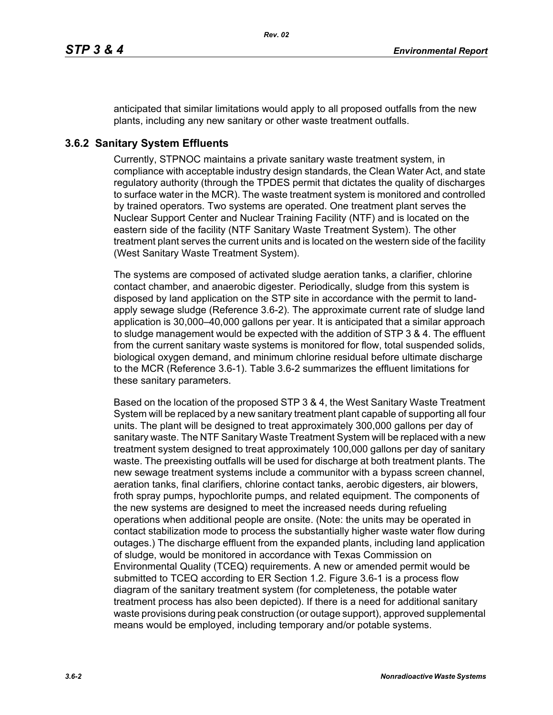anticipated that similar limitations would apply to all proposed outfalls from the new plants, including any new sanitary or other waste treatment outfalls.

# **3.6.2 Sanitary System Effluents**

Currently, STPNOC maintains a private sanitary waste treatment system, in compliance with acceptable industry design standards, the Clean Water Act, and state regulatory authority (through the TPDES permit that dictates the quality of discharges to surface water in the MCR). The waste treatment system is monitored and controlled by trained operators. Two systems are operated. One treatment plant serves the Nuclear Support Center and Nuclear Training Facility (NTF) and is located on the eastern side of the facility (NTF Sanitary Waste Treatment System). The other treatment plant serves the current units and is located on the western side of the facility (West Sanitary Waste Treatment System).

The systems are composed of activated sludge aeration tanks, a clarifier, chlorine contact chamber, and anaerobic digester. Periodically, sludge from this system is disposed by land application on the STP site in accordance with the permit to landapply sewage sludge (Reference 3.6-2). The approximate current rate of sludge land application is 30,000–40,000 gallons per year. It is anticipated that a similar approach to sludge management would be expected with the addition of STP 3 & 4. The effluent from the current sanitary waste systems is monitored for flow, total suspended solids, biological oxygen demand, and minimum chlorine residual before ultimate discharge to the MCR (Reference 3.6-1). Table 3.6-2 summarizes the effluent limitations for these sanitary parameters.

Based on the location of the proposed STP 3 & 4, the West Sanitary Waste Treatment System will be replaced by a new sanitary treatment plant capable of supporting all four units. The plant will be designed to treat approximately 300,000 gallons per day of sanitary waste. The NTF Sanitary Waste Treatment System will be replaced with a new treatment system designed to treat approximately 100,000 gallons per day of sanitary waste. The preexisting outfalls will be used for discharge at both treatment plants. The new sewage treatment systems include a communitor with a bypass screen channel, aeration tanks, final clarifiers, chlorine contact tanks, aerobic digesters, air blowers, froth spray pumps, hypochlorite pumps, and related equipment. The components of the new systems are designed to meet the increased needs during refueling operations when additional people are onsite. (Note: the units may be operated in contact stabilization mode to process the substantially higher waste water flow during outages.) The discharge effluent from the expanded plants, including land application of sludge, would be monitored in accordance with Texas Commission on Environmental Quality (TCEQ) requirements. A new or amended permit would be submitted to TCEQ according to ER Section 1.2. Figure 3.6-1 is a process flow diagram of the sanitary treatment system (for completeness, the potable water treatment process has also been depicted). If there is a need for additional sanitary waste provisions during peak construction (or outage support), approved supplemental means would be employed, including temporary and/or potable systems.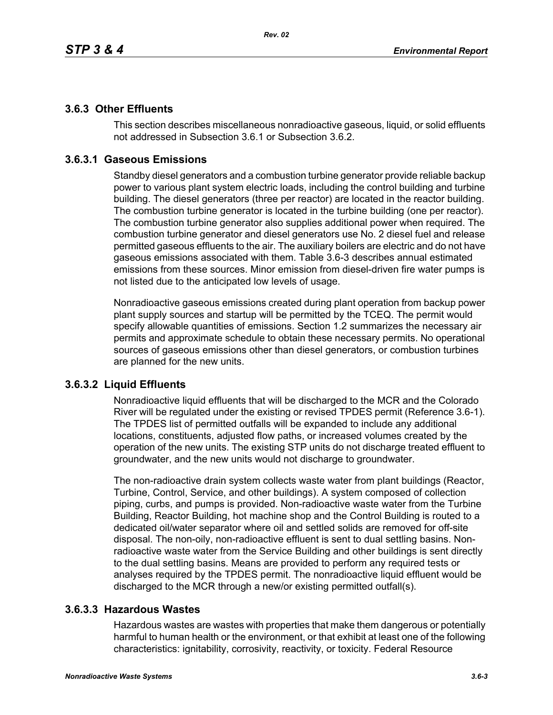## **3.6.3 Other Effluents**

This section describes miscellaneous nonradioactive gaseous, liquid, or solid effluents not addressed in Subsection 3.6.1 or Subsection 3.6.2.

# **3.6.3.1 Gaseous Emissions**

Standby diesel generators and a combustion turbine generator provide reliable backup power to various plant system electric loads, including the control building and turbine building. The diesel generators (three per reactor) are located in the reactor building. The combustion turbine generator is located in the turbine building (one per reactor). The combustion turbine generator also supplies additional power when required. The combustion turbine generator and diesel generators use No. 2 diesel fuel and release permitted gaseous effluents to the air. The auxiliary boilers are electric and do not have gaseous emissions associated with them. Table 3.6-3 describes annual estimated emissions from these sources. Minor emission from diesel-driven fire water pumps is not listed due to the anticipated low levels of usage.

Nonradioactive gaseous emissions created during plant operation from backup power plant supply sources and startup will be permitted by the TCEQ. The permit would specify allowable quantities of emissions. Section 1.2 summarizes the necessary air permits and approximate schedule to obtain these necessary permits. No operational sources of gaseous emissions other than diesel generators, or combustion turbines are planned for the new units.

## **3.6.3.2 Liquid Effluents**

Nonradioactive liquid effluents that will be discharged to the MCR and the Colorado River will be regulated under the existing or revised TPDES permit (Reference 3.6-1). The TPDES list of permitted outfalls will be expanded to include any additional locations, constituents, adjusted flow paths, or increased volumes created by the operation of the new units. The existing STP units do not discharge treated effluent to groundwater, and the new units would not discharge to groundwater.

The non-radioactive drain system collects waste water from plant buildings (Reactor, Turbine, Control, Service, and other buildings). A system composed of collection piping, curbs, and pumps is provided. Non-radioactive waste water from the Turbine Building, Reactor Building, hot machine shop and the Control Building is routed to a dedicated oil/water separator where oil and settled solids are removed for off-site disposal. The non-oily, non-radioactive effluent is sent to dual settling basins. Nonradioactive waste water from the Service Building and other buildings is sent directly to the dual settling basins. Means are provided to perform any required tests or analyses required by the TPDES permit. The nonradioactive liquid effluent would be discharged to the MCR through a new/or existing permitted outfall(s).

## **3.6.3.3 Hazardous Wastes**

Hazardous wastes are wastes with properties that make them dangerous or potentially harmful to human health or the environment, or that exhibit at least one of the following characteristics: ignitability, corrosivity, reactivity, or toxicity. Federal Resource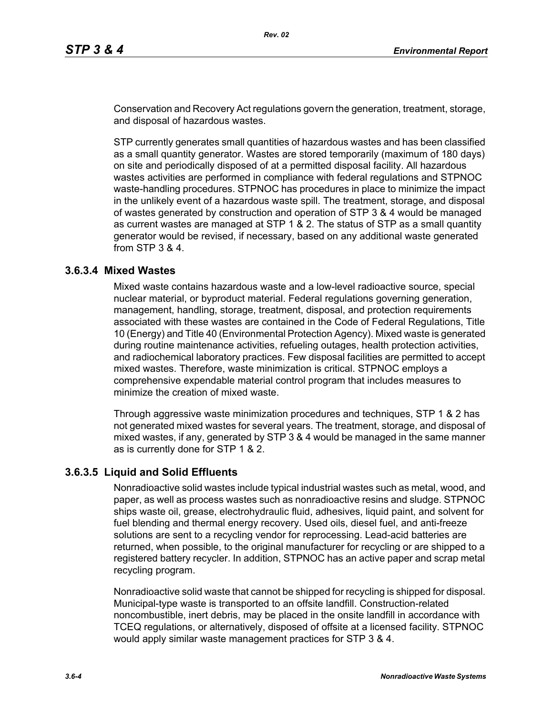Conservation and Recovery Act regulations govern the generation, treatment, storage, and disposal of hazardous wastes.

STP currently generates small quantities of hazardous wastes and has been classified as a small quantity generator. Wastes are stored temporarily (maximum of 180 days) on site and periodically disposed of at a permitted disposal facility. All hazardous wastes activities are performed in compliance with federal regulations and STPNOC waste-handling procedures. STPNOC has procedures in place to minimize the impact in the unlikely event of a hazardous waste spill. The treatment, storage, and disposal of wastes generated by construction and operation of STP 3 & 4 would be managed as current wastes are managed at STP 1 & 2. The status of STP as a small quantity generator would be revised, if necessary, based on any additional waste generated from STP 3 & 4.

### **3.6.3.4 Mixed Wastes**

Mixed waste contains hazardous waste and a low-level radioactive source, special nuclear material, or byproduct material. Federal regulations governing generation, management, handling, storage, treatment, disposal, and protection requirements associated with these wastes are contained in the Code of Federal Regulations, Title 10 (Energy) and Title 40 (Environmental Protection Agency). Mixed waste is generated during routine maintenance activities, refueling outages, health protection activities, and radiochemical laboratory practices. Few disposal facilities are permitted to accept mixed wastes. Therefore, waste minimization is critical. STPNOC employs a comprehensive expendable material control program that includes measures to minimize the creation of mixed waste.

Through aggressive waste minimization procedures and techniques, STP 1 & 2 has not generated mixed wastes for several years. The treatment, storage, and disposal of mixed wastes, if any, generated by STP 3 & 4 would be managed in the same manner as is currently done for STP 1 & 2.

### **3.6.3.5 Liquid and Solid Effluents**

Nonradioactive solid wastes include typical industrial wastes such as metal, wood, and paper, as well as process wastes such as nonradioactive resins and sludge. STPNOC ships waste oil, grease, electrohydraulic fluid, adhesives, liquid paint, and solvent for fuel blending and thermal energy recovery. Used oils, diesel fuel, and anti-freeze solutions are sent to a recycling vendor for reprocessing. Lead-acid batteries are returned, when possible, to the original manufacturer for recycling or are shipped to a registered battery recycler. In addition, STPNOC has an active paper and scrap metal recycling program.

Nonradioactive solid waste that cannot be shipped for recycling is shipped for disposal. Municipal-type waste is transported to an offsite landfill. Construction-related noncombustible, inert debris, may be placed in the onsite landfill in accordance with TCEQ regulations, or alternatively, disposed of offsite at a licensed facility. STPNOC would apply similar waste management practices for STP 3 & 4.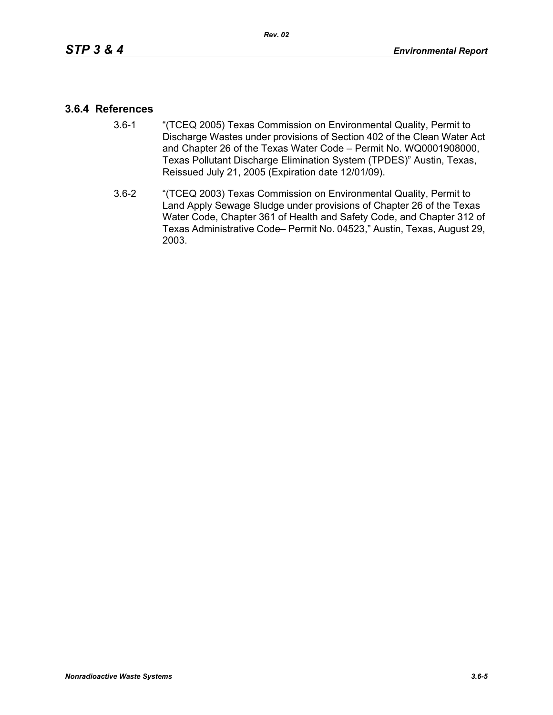### **3.6.4 References**

- 3.6-1 "(TCEQ 2005) Texas Commission on Environmental Quality, Permit to Discharge Wastes under provisions of Section 402 of the Clean Water Act and Chapter 26 of the Texas Water Code – Permit No. WQ0001908000, Texas Pollutant Discharge Elimination System (TPDES)" Austin, Texas, Reissued July 21, 2005 (Expiration date 12/01/09).
- 3.6-2 "(TCEQ 2003) Texas Commission on Environmental Quality, Permit to Land Apply Sewage Sludge under provisions of Chapter 26 of the Texas Water Code, Chapter 361 of Health and Safety Code, and Chapter 312 of Texas Administrative Code– Permit No. 04523," Austin, Texas, August 29, 2003.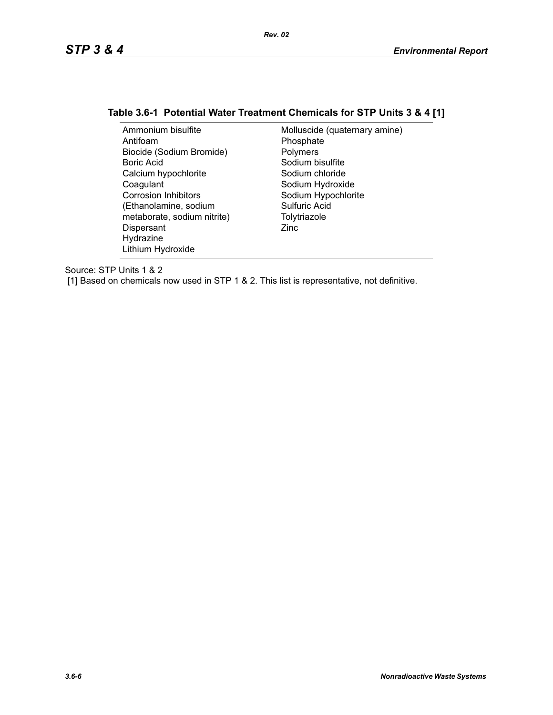# **Table 3.6-1 Potential Water Treatment Chemicals for STP Units 3 & 4 [1]**

| Ammonium bisulfite          | Molluscide (quaternary amine) |
|-----------------------------|-------------------------------|
| Antifoam                    | Phosphate                     |
| Biocide (Sodium Bromide)    | Polymers                      |
| Boric Acid                  | Sodium bisulfite              |
| Calcium hypochlorite        | Sodium chloride               |
| Coagulant                   | Sodium Hydroxide              |
| <b>Corrosion Inhibitors</b> | Sodium Hypochlorite           |
| (Ethanolamine, sodium       | Sulfuric Acid                 |
| metaborate, sodium nitrite) | Tolytriazole                  |
| Dispersant                  | Zinc                          |
| Hydrazine                   |                               |
| Lithium Hydroxide           |                               |

Source: STP Units 1 & 2

[1] Based on chemicals now used in STP 1 & 2. This list is representative, not definitive.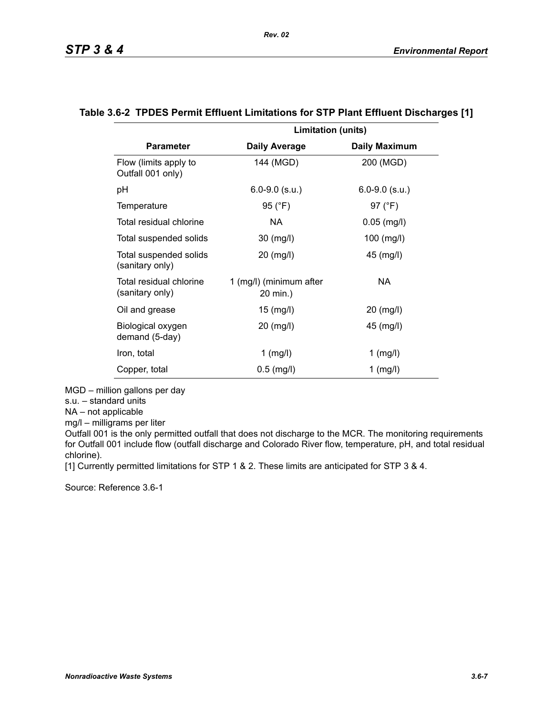|                                            | <b>Limitation (units)</b>           |                      |
|--------------------------------------------|-------------------------------------|----------------------|
| <b>Parameter</b>                           | <b>Daily Average</b>                | <b>Daily Maximum</b> |
| Flow (limits apply to<br>Outfall 001 only) | 144 (MGD)                           | 200 (MGD)            |
| рH                                         | $6.0 - 9.0$ (s.u.)                  | $6.0 - 9.0$ (s.u.)   |
| Temperature                                | 95 (°F)                             | 97 (°F)              |
| Total residual chlorine                    | NA.                                 | $0.05$ (mg/l)        |
| Total suspended solids                     | 30 (mg/l)                           | 100 (mg/l)           |
| Total suspended solids<br>(sanitary only)  | 20 (mg/l)                           | 45 (mg/l)            |
| Total residual chlorine<br>(sanitary only) | 1 (mg/l) (minimum after<br>20 min.) | NA                   |
| Oil and grease                             | 15 (mg/l)                           | 20 (mg/l)            |
| Biological oxygen<br>demand (5-day)        | 20 (mg/l)                           | 45 (mg/l)            |
| Iron, total                                | $1$ (mg/l)                          | $1$ (mg/l)           |
| Copper, total                              | $0.5$ (mg/l)                        | $1$ (mg/l)           |

#### **Table 3.6-2 TPDES Permit Effluent Limitations for STP Plant Effluent Discharges [1]**

MGD – million gallons per day

s.u. – standard units

NA – not applicable

mg/l – milligrams per liter

Outfall 001 is the only permitted outfall that does not discharge to the MCR. The monitoring requirements for Outfall 001 include flow (outfall discharge and Colorado River flow, temperature, pH, and total residual chlorine).

[1] Currently permitted limitations for STP 1 & 2. These limits are anticipated for STP 3 & 4.

Source: Reference 3.6-1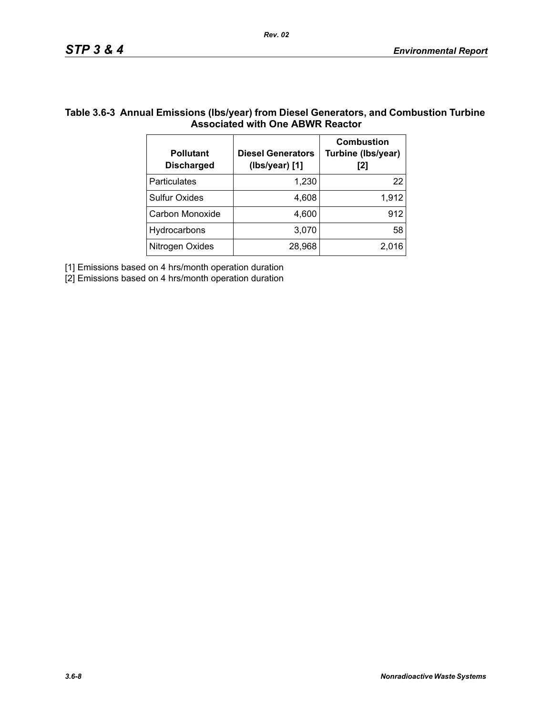### **Table 3.6-3 Annual Emissions (lbs/year) from Diesel Generators, and Combustion Turbine Associated with One ABWR Reactor**

*Rev. 02*

| <b>Pollutant</b><br><b>Discharged</b> | <b>Diesel Generators</b><br>(Ibs/year) [1] | <b>Combustion</b><br>Turbine (Ibs/year)<br>[2] |
|---------------------------------------|--------------------------------------------|------------------------------------------------|
| <b>Particulates</b>                   | 1,230                                      | 22                                             |
| <b>Sulfur Oxides</b>                  | 4,608                                      | 1,912                                          |
| Carbon Monoxide                       | 4,600                                      | 912                                            |
| Hydrocarbons                          | 3,070                                      | 58                                             |
| Nitrogen Oxides                       | 28,968                                     | 2.016                                          |

[1] Emissions based on 4 hrs/month operation duration

[2] Emissions based on 4 hrs/month operation duration